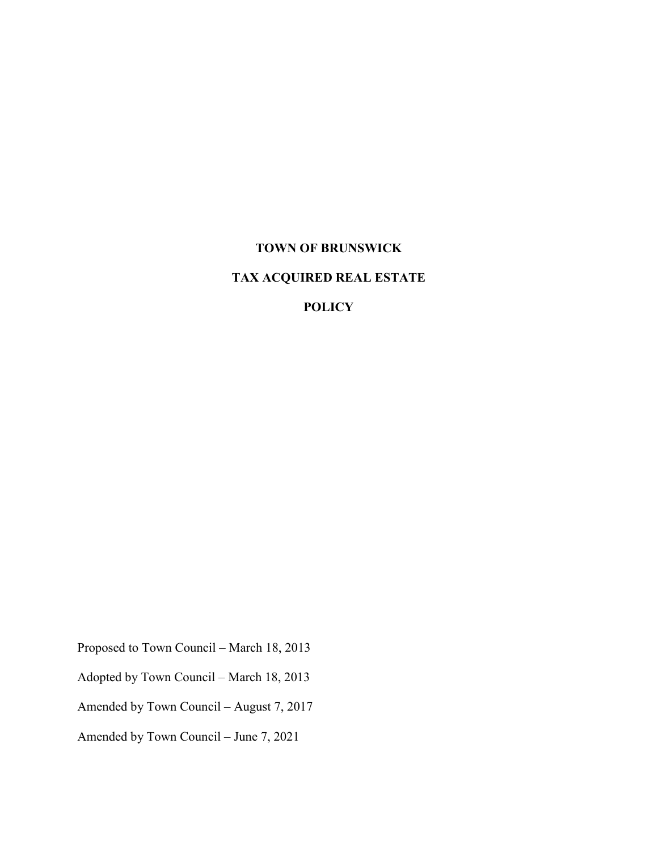# **TOWN OF BRUNSWICK**

## **TAX ACQUIRED REAL ESTATE**

### **POLICY**

Proposed to Town Council – March 18, 2013

Adopted by Town Council – March 18, 2013

Amended by Town Council – August 7, 2017

Amended by Town Council – June 7, 2021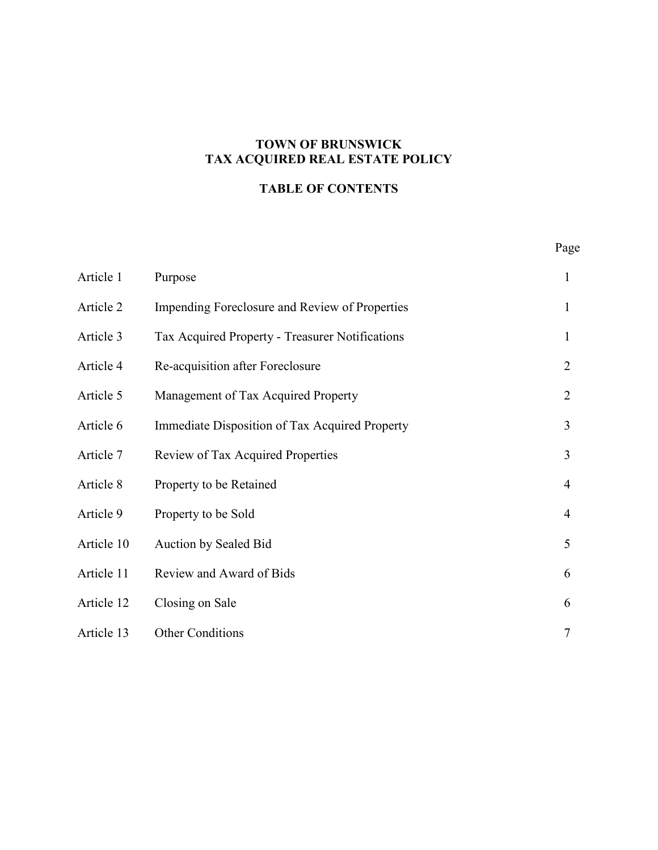## **TOWN OF BRUNSWICK TAX ACQUIRED REAL ESTATE POLICY**

### **TABLE OF CONTENTS**

|            |                                                 | Page           |
|------------|-------------------------------------------------|----------------|
| Article 1  | Purpose                                         | $\mathbf{1}$   |
| Article 2  | Impending Foreclosure and Review of Properties  | 1              |
| Article 3  | Tax Acquired Property - Treasurer Notifications | $\mathbf{1}$   |
| Article 4  | Re-acquisition after Foreclosure                | $\overline{2}$ |
| Article 5  | Management of Tax Acquired Property             | $\overline{2}$ |
| Article 6  | Immediate Disposition of Tax Acquired Property  | 3              |
| Article 7  | Review of Tax Acquired Properties               | 3              |
| Article 8  | Property to be Retained                         | $\overline{4}$ |
| Article 9  | Property to be Sold                             | $\overline{4}$ |
| Article 10 | Auction by Sealed Bid                           | 5              |
| Article 11 | Review and Award of Bids                        | 6              |
| Article 12 | Closing on Sale                                 | 6              |
| Article 13 | <b>Other Conditions</b>                         | 7              |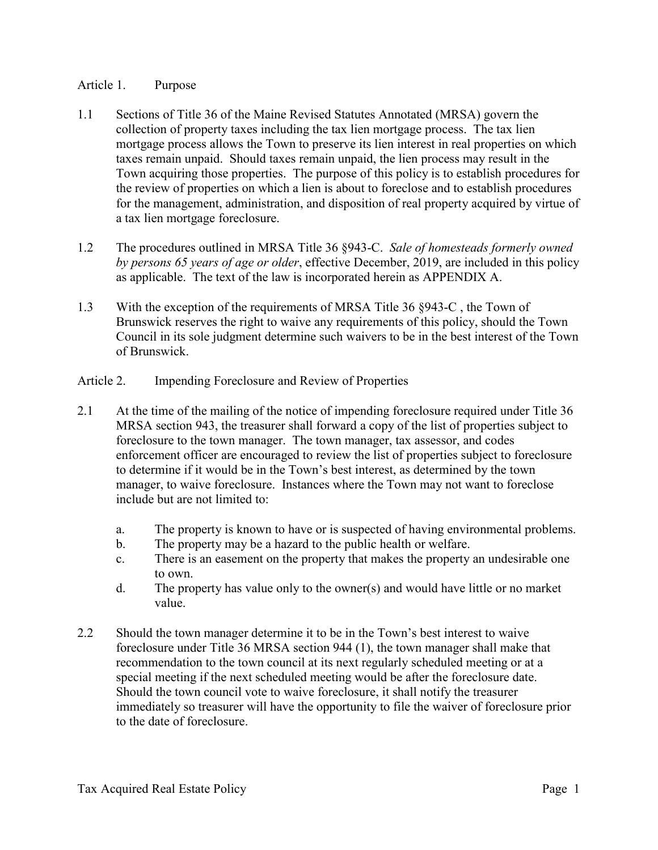### Article 1. Purpose

- 1.1 Sections of Title 36 of the Maine Revised Statutes Annotated (MRSA) govern the collection of property taxes including the tax lien mortgage process. The tax lien mortgage process allows the Town to preserve its lien interest in real properties on which taxes remain unpaid. Should taxes remain unpaid, the lien process may result in the Town acquiring those properties. The purpose of this policy is to establish procedures for the review of properties on which a lien is about to foreclose and to establish procedures for the management, administration, and disposition of real property acquired by virtue of a tax lien mortgage foreclosure.
- 1.2 The procedures outlined in MRSA Title 36 §943-C. *Sale of homesteads formerly owned by persons 65 years of age or older*, effective December, 2019, are included in this policy as applicable. The text of the law is incorporated herein as APPENDIX A.
- 1.3 With the exception of the requirements of MRSA Title 36 §943-C , the Town of Brunswick reserves the right to waive any requirements of this policy, should the Town Council in its sole judgment determine such waivers to be in the best interest of the Town of Brunswick.
- Article 2. Impending Foreclosure and Review of Properties
- 2.1 At the time of the mailing of the notice of impending foreclosure required under Title 36 MRSA section 943, the treasurer shall forward a copy of the list of properties subject to foreclosure to the town manager. The town manager, tax assessor, and codes enforcement officer are encouraged to review the list of properties subject to foreclosure to determine if it would be in the Town's best interest, as determined by the town manager, to waive foreclosure. Instances where the Town may not want to foreclose include but are not limited to:
	- a. The property is known to have or is suspected of having environmental problems.
	- b. The property may be a hazard to the public health or welfare.
	- c. There is an easement on the property that makes the property an undesirable one to own.
	- d. The property has value only to the owner(s) and would have little or no market value.
- 2.2 Should the town manager determine it to be in the Town's best interest to waive foreclosure under Title 36 MRSA section 944 (1), the town manager shall make that recommendation to the town council at its next regularly scheduled meeting or at a special meeting if the next scheduled meeting would be after the foreclosure date. Should the town council vote to waive foreclosure, it shall notify the treasurer immediately so treasurer will have the opportunity to file the waiver of foreclosure prior to the date of foreclosure.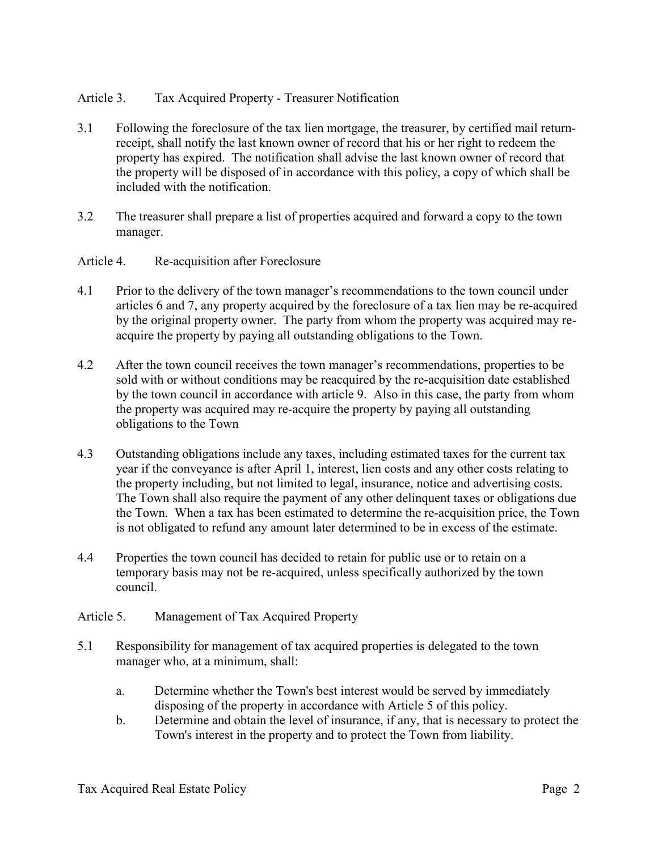- Article 3. Tax Acquired Property Treasurer Notification
- 3.1 Following the foreclosure of the tax lien mortgage, the treasurer, by certified mail returnreceipt, shall notify the last known owner of record that his or her right to redeem the property has expired. The notification shall advise the last known owner of record that the property will be disposed of in accordance with this policy, a copy of which shall be included with the notification.
- 3.2 The treasurer shall prepare a list of properties acquired and forward a copy to the town manager.
- Article 4. Re-acquisition after Foreclosure
- 4.1 Prior to the delivery of the town manager's recommendations to the town council under articles 6 and 7, any property acquired by the foreclosure of a tax lien may be re-acquired by the original property owner. The party from whom the property was acquired may reacquire the property by paying all outstanding obligations to the Town.
- 4.2 After the town council receives the town manager's recommendations, properties to be sold with or without conditions may be reacquired by the re-acquisition date established by the town council in accordance with article 9. Also in this case, the party from whom the property was acquired may re-acquire the property by paying all outstanding obligations to the Town
- 4.3 Outstanding obligations include any taxes, including estimated taxes for the current tax year if the conveyance is after April 1, interest, lien costs and any other costs relating to the property including, but not limited to legal, insurance, notice and advertising costs. The Town shall also require the payment of any other delinquent taxes or obligations due the Town. When a tax has been estimated to determine the re-acquisition price, the Town is not obligated to refund any amount later determined to be in excess of the estimate.
- 4.4 Properties the town council has decided to retain for public use or to retain on a temporary basis may not be re-acquired, unless specifically authorized by the town council.
- Article 5. Management of Tax Acquired Property
- 5.1 Responsibility for management of tax acquired properties is delegated to the town manager who, at a minimum, shall:
	- a. Determine whether the Town's best interest would be served by immediately disposing of the property in accordance with Article 5 of this policy.
	- b. Determine and obtain the level of insurance, if any, that is necessary to protect the Town's interest in the property and to protect the Town from liability.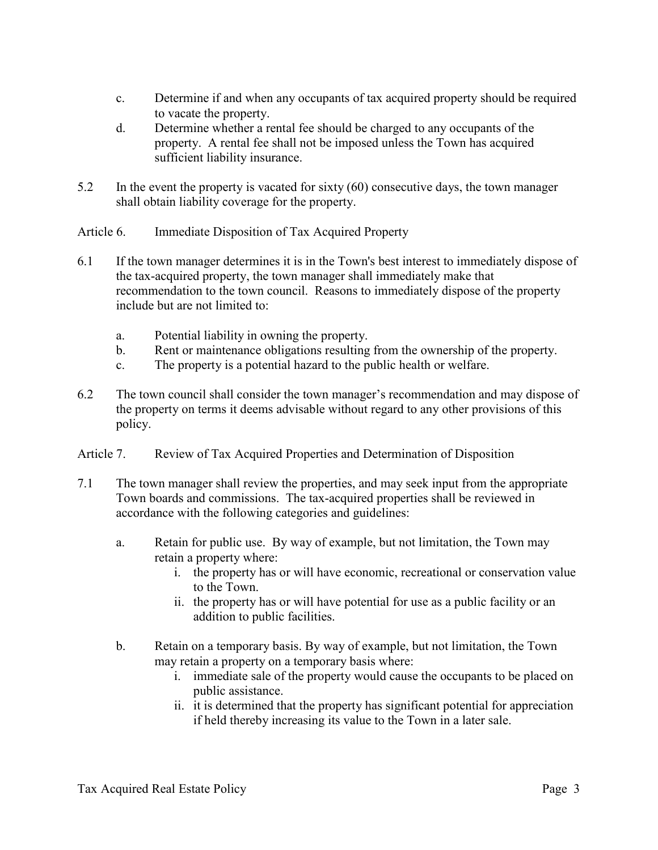- c. Determine if and when any occupants of tax acquired property should be required to vacate the property.
- d. Determine whether a rental fee should be charged to any occupants of the property. A rental fee shall not be imposed unless the Town has acquired sufficient liability insurance.
- 5.2 In the event the property is vacated for sixty (60) consecutive days, the town manager shall obtain liability coverage for the property.
- Article 6. Immediate Disposition of Tax Acquired Property
- 6.1 If the town manager determines it is in the Town's best interest to immediately dispose of the tax-acquired property, the town manager shall immediately make that recommendation to the town council. Reasons to immediately dispose of the property include but are not limited to:
	- a. Potential liability in owning the property.
	- b. Rent or maintenance obligations resulting from the ownership of the property.
	- c. The property is a potential hazard to the public health or welfare.
- 6.2 The town council shall consider the town manager's recommendation and may dispose of the property on terms it deems advisable without regard to any other provisions of this policy.
- Article 7. Review of Tax Acquired Properties and Determination of Disposition
- 7.1 The town manager shall review the properties, and may seek input from the appropriate Town boards and commissions. The tax-acquired properties shall be reviewed in accordance with the following categories and guidelines:
	- a. Retain for public use. By way of example, but not limitation, the Town may retain a property where:
		- i. the property has or will have economic, recreational or conservation value to the Town.
		- ii. the property has or will have potential for use as a public facility or an addition to public facilities.
	- b. Retain on a temporary basis. By way of example, but not limitation, the Town may retain a property on a temporary basis where:
		- i. immediate sale of the property would cause the occupants to be placed on public assistance.
		- ii. it is determined that the property has significant potential for appreciation if held thereby increasing its value to the Town in a later sale.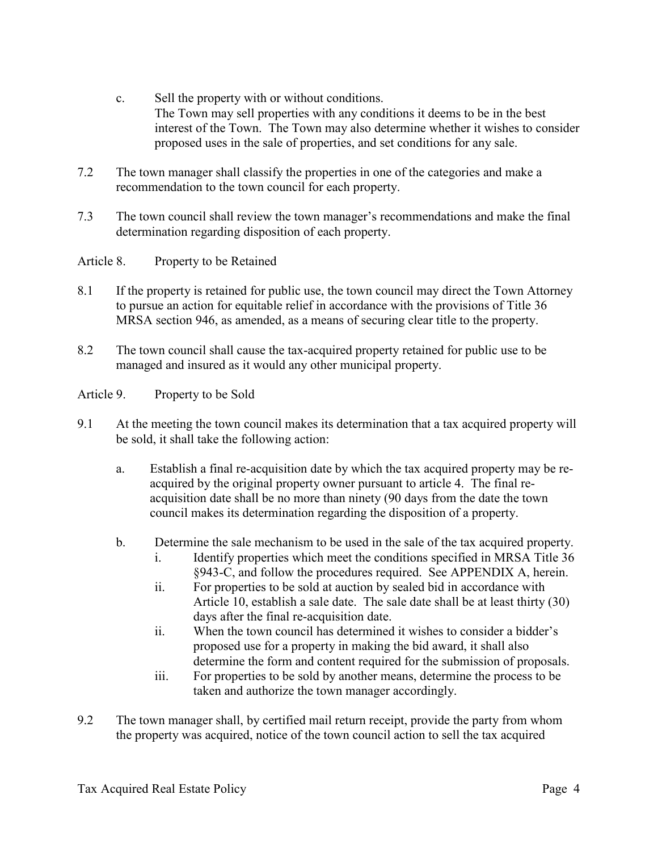- c. Sell the property with or without conditions. The Town may sell properties with any conditions it deems to be in the best interest of the Town. The Town may also determine whether it wishes to consider proposed uses in the sale of properties, and set conditions for any sale.
- 7.2 The town manager shall classify the properties in one of the categories and make a recommendation to the town council for each property.
- 7.3 The town council shall review the town manager's recommendations and make the final determination regarding disposition of each property.
- Article 8. Property to be Retained
- 8.1 If the property is retained for public use, the town council may direct the Town Attorney to pursue an action for equitable relief in accordance with the provisions of Title 36 MRSA section 946, as amended, as a means of securing clear title to the property.
- 8.2 The town council shall cause the tax-acquired property retained for public use to be managed and insured as it would any other municipal property.
- Article 9. Property to be Sold
- 9.1 At the meeting the town council makes its determination that a tax acquired property will be sold, it shall take the following action:
	- a. Establish a final re-acquisition date by which the tax acquired property may be reacquired by the original property owner pursuant to article 4. The final reacquisition date shall be no more than ninety (90 days from the date the town council makes its determination regarding the disposition of a property.
	- b. Determine the sale mechanism to be used in the sale of the tax acquired property.
		- i. Identify properties which meet the conditions specified in MRSA Title 36 §943-C, and follow the procedures required. See APPENDIX A, herein.
		- ii. For properties to be sold at auction by sealed bid in accordance with Article 10, establish a sale date. The sale date shall be at least thirty (30) days after the final re-acquisition date.
		- ii. When the town council has determined it wishes to consider a bidder's proposed use for a property in making the bid award, it shall also determine the form and content required for the submission of proposals.
		- iii. For properties to be sold by another means, determine the process to be taken and authorize the town manager accordingly.
- 9.2 The town manager shall, by certified mail return receipt, provide the party from whom the property was acquired, notice of the town council action to sell the tax acquired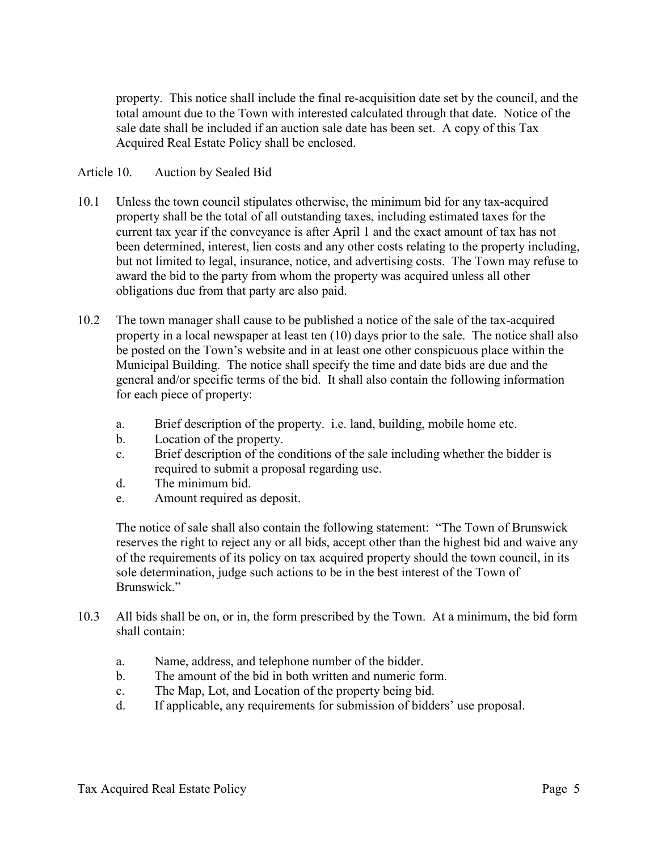property. This notice shall include the final re-acquisition date set by the council, and the total amount due to the Town with interested calculated through that date. Notice of the sale date shall be included if an auction sale date has been set. A copy of this Tax Acquired Real Estate Policy shall be enclosed.

### Article 10. Auction by Sealed Bid

- 10.1 Unless the town council stipulates otherwise, the minimum bid for any tax-acquired property shall be the total of all outstanding taxes, including estimated taxes for the current tax year if the conveyance is after April 1 and the exact amount of tax has not been determined, interest, lien costs and any other costs relating to the property including, but not limited to legal, insurance, notice, and advertising costs. The Town may refuse to award the bid to the party from whom the property was acquired unless all other obligations due from that party are also paid.
- 10.2 The town manager shall cause to be published a notice of the sale of the tax-acquired property in a local newspaper at least ten (10) days prior to the sale. The notice shall also be posted on the Town's website and in at least one other conspicuous place within the Municipal Building. The notice shall specify the time and date bids are due and the general and/or specific terms of the bid. It shall also contain the following information for each piece of property:
	- a. Brief description of the property. i.e. land, building, mobile home etc.
	- b. Location of the property.
	- c. Brief description of the conditions of the sale including whether the bidder is required to submit a proposal regarding use.
	- d. The minimum bid.
	- e. Amount required as deposit.

The notice of sale shall also contain the following statement: "The Town of Brunswick reserves the right to reject any or all bids, accept other than the highest bid and waive any of the requirements of its policy on tax acquired property should the town council, in its sole determination, judge such actions to be in the best interest of the Town of Brunswick."

- 10.3 All bids shall be on, or in, the form prescribed by the Town. At a minimum, the bid form shall contain:
	- a. Name, address, and telephone number of the bidder.
	- b. The amount of the bid in both written and numeric form.
	- c. The Map, Lot, and Location of the property being bid.
	- d. If applicable, any requirements for submission of bidders' use proposal.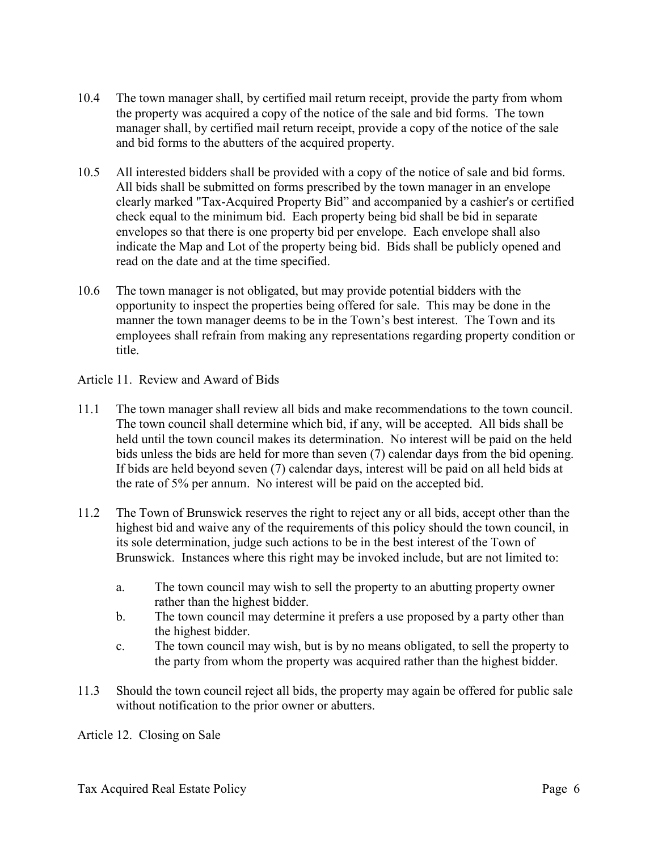- 10.4 The town manager shall, by certified mail return receipt, provide the party from whom the property was acquired a copy of the notice of the sale and bid forms. The town manager shall, by certified mail return receipt, provide a copy of the notice of the sale and bid forms to the abutters of the acquired property.
- 10.5 All interested bidders shall be provided with a copy of the notice of sale and bid forms. All bids shall be submitted on forms prescribed by the town manager in an envelope clearly marked "Tax-Acquired Property Bid" and accompanied by a cashier's or certified check equal to the minimum bid. Each property being bid shall be bid in separate envelopes so that there is one property bid per envelope. Each envelope shall also indicate the Map and Lot of the property being bid. Bids shall be publicly opened and read on the date and at the time specified.
- 10.6 The town manager is not obligated, but may provide potential bidders with the opportunity to inspect the properties being offered for sale. This may be done in the manner the town manager deems to be in the Town's best interest. The Town and its employees shall refrain from making any representations regarding property condition or title.

Article 11. Review and Award of Bids

- 11.1 The town manager shall review all bids and make recommendations to the town council. The town council shall determine which bid, if any, will be accepted. All bids shall be held until the town council makes its determination. No interest will be paid on the held bids unless the bids are held for more than seven (7) calendar days from the bid opening. If bids are held beyond seven (7) calendar days, interest will be paid on all held bids at the rate of 5% per annum. No interest will be paid on the accepted bid.
- 11.2 The Town of Brunswick reserves the right to reject any or all bids, accept other than the highest bid and waive any of the requirements of this policy should the town council, in its sole determination, judge such actions to be in the best interest of the Town of Brunswick. Instances where this right may be invoked include, but are not limited to:
	- a. The town council may wish to sell the property to an abutting property owner rather than the highest bidder.
	- b. The town council may determine it prefers a use proposed by a party other than the highest bidder.
	- c. The town council may wish, but is by no means obligated, to sell the property to the party from whom the property was acquired rather than the highest bidder.
- 11.3 Should the town council reject all bids, the property may again be offered for public sale without notification to the prior owner or abutters.

Article 12. Closing on Sale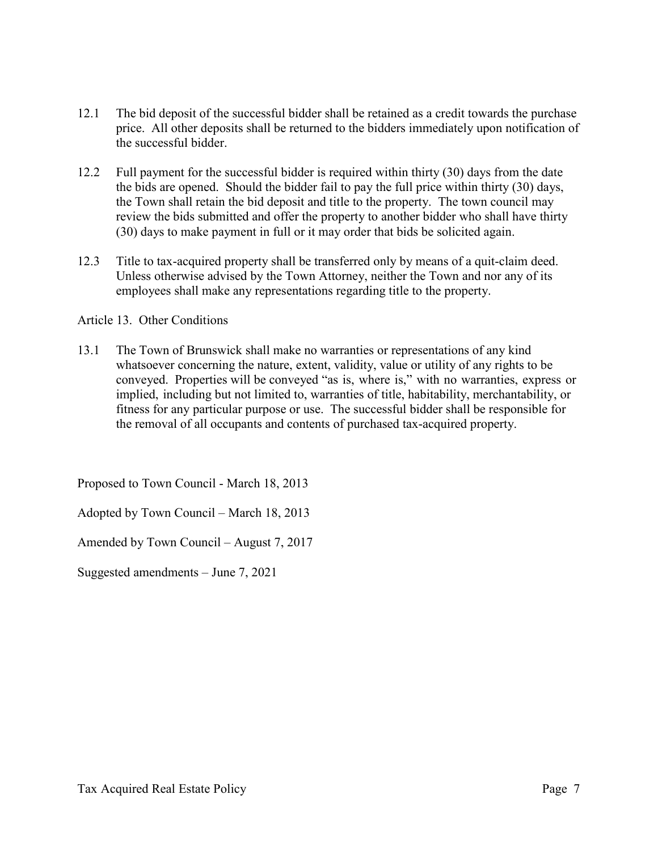- 12.1 The bid deposit of the successful bidder shall be retained as a credit towards the purchase price. All other deposits shall be returned to the bidders immediately upon notification of the successful bidder.
- 12.2 Full payment for the successful bidder is required within thirty (30) days from the date the bids are opened. Should the bidder fail to pay the full price within thirty (30) days, the Town shall retain the bid deposit and title to the property. The town council may review the bids submitted and offer the property to another bidder who shall have thirty (30) days to make payment in full or it may order that bids be solicited again.
- 12.3 Title to tax-acquired property shall be transferred only by means of a quit-claim deed. Unless otherwise advised by the Town Attorney, neither the Town and nor any of its employees shall make any representations regarding title to the property.

Article 13. Other Conditions

13.1 The Town of Brunswick shall make no warranties or representations of any kind whatsoever concerning the nature, extent, validity, value or utility of any rights to be conveyed. Properties will be conveyed "as is, where is," with no warranties, express or implied, including but not limited to, warranties of title, habitability, merchantability, or fitness for any particular purpose or use. The successful bidder shall be responsible for the removal of all occupants and contents of purchased tax-acquired property.

Proposed to Town Council - March 18, 2013

Adopted by Town Council – March 18, 2013

Amended by Town Council – August 7, 2017

Suggested amendments – June 7, 2021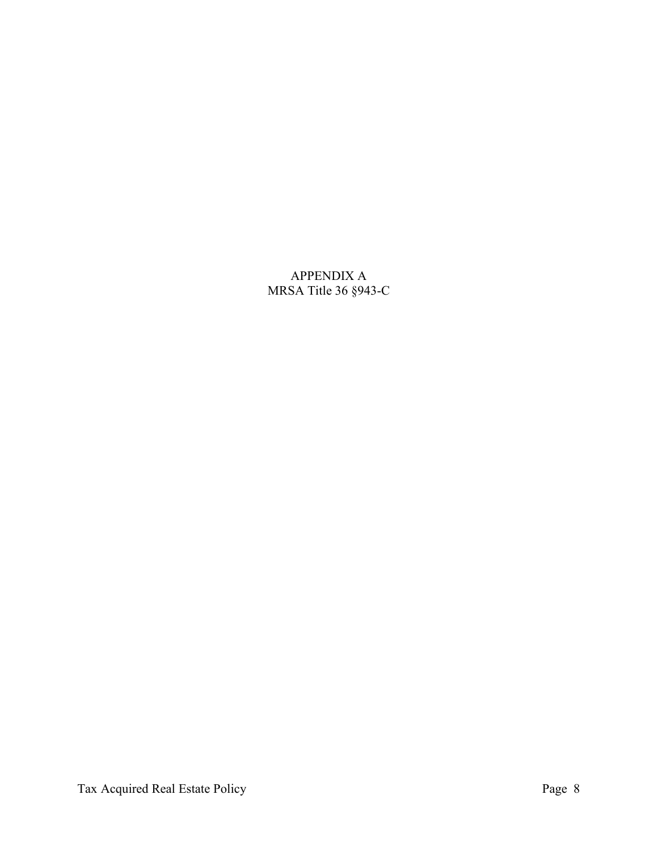## APPENDIX A MRSA Title 36 §943-C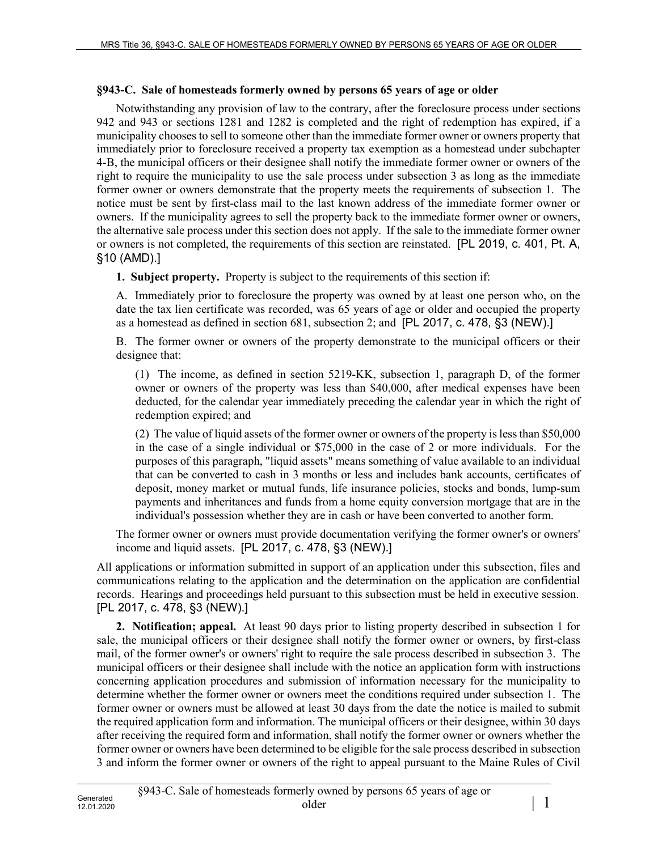#### **§943-C. Sale of homesteads formerly owned by persons 65 years of age or older**

Notwithstanding any provision of law to the contrary, after the foreclosure process under sections 942 and 943 or sections 1281 and 1282 is completed and the right of redemption has expired, if a municipality chooses to sell to someone other than the immediate former owner or owners property that immediately prior to foreclosure received a property tax exemption as a homestead under subchapter 4‑B, the municipal officers or their designee shall notify the immediate former owner or owners of the right to require the municipality to use the sale process under subsection 3 as long as the immediate former owner or owners demonstrate that the property meets the requirements of subsection 1. The notice must be sent by first-class mail to the last known address of the immediate former owner or owners. If the municipality agrees to sell the property back to the immediate former owner or owners, the alternative sale process under this section does not apply. If the sale to the immediate former owner or owners is not completed, the requirements of this section are reinstated. [PL 2019, c. 401, Pt. A, §10 (AMD).]

**1. Subject property.** Property is subject to the requirements of this section if:

A. Immediately prior to foreclosure the property was owned by at least one person who, on the date the tax lien certificate was recorded, was 65 years of age or older and occupied the property as a homestead as defined in section 681, subsection 2; and [PL 2017, c. 478, §3 (NEW).]

B. The former owner or owners of the property demonstrate to the municipal officers or their designee that:

(1) The income, as defined in section 5219‑KK, subsection 1, paragraph D, of the former owner or owners of the property was less than \$40,000, after medical expenses have been deducted, for the calendar year immediately preceding the calendar year in which the right of redemption expired; and

(2) The value of liquid assets of the former owner or owners of the property is less than \$50,000 in the case of a single individual or \$75,000 in the case of 2 or more individuals. For the purposes of this paragraph, "liquid assets" means something of value available to an individual that can be converted to cash in 3 months or less and includes bank accounts, certificates of deposit, money market or mutual funds, life insurance policies, stocks and bonds, lump-sum payments and inheritances and funds from a home equity conversion mortgage that are in the individual's possession whether they are in cash or have been converted to another form.

The former owner or owners must provide documentation verifying the former owner's or owners' income and liquid assets. [PL 2017, c. 478, §3 (NEW).]

All applications or information submitted in support of an application under this subsection, files and communications relating to the application and the determination on the application are confidential records. Hearings and proceedings held pursuant to this subsection must be held in executive session. [PL 2017, c. 478, §3 (NEW).]

**2. Notification; appeal.** At least 90 days prior to listing property described in subsection 1 for sale, the municipal officers or their designee shall notify the former owner or owners, by first-class mail, of the former owner's or owners' right to require the sale process described in subsection 3. The municipal officers or their designee shall include with the notice an application form with instructions concerning application procedures and submission of information necessary for the municipality to determine whether the former owner or owners meet the conditions required under subsection 1. The former owner or owners must be allowed at least 30 days from the date the notice is mailed to submit the required application form and information. The municipal officers or their designee, within 30 days after receiving the required form and information, shall notify the former owner or owners whether the former owner or owners have been determined to be eligible for the sale process described in subsection 3 and inform the former owner or owners of the right to appeal pursuant to the Maine Rules of Civil